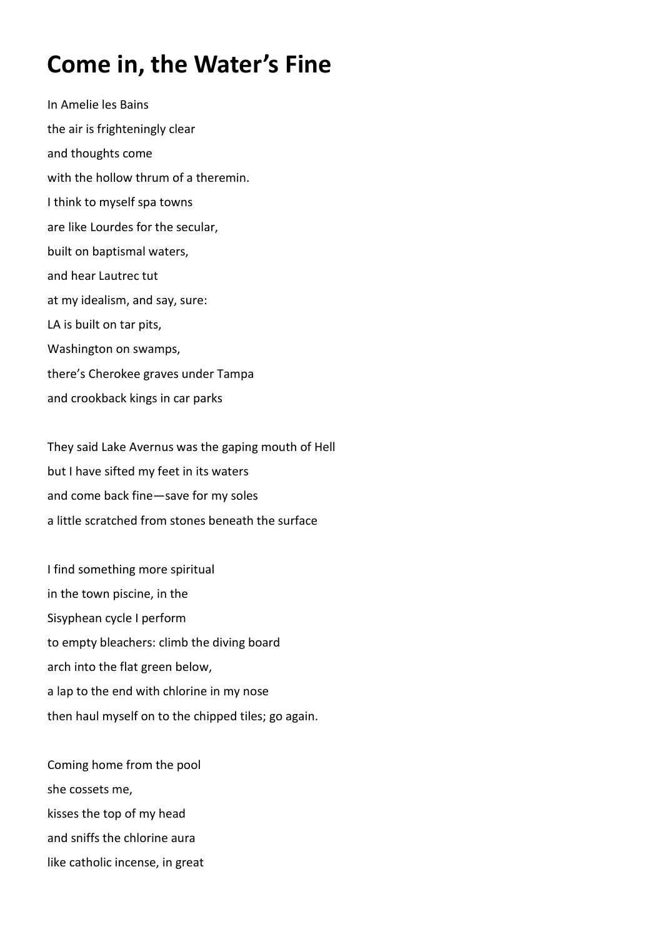## **Come in, the Water's Fine**

In Amelie les Bains the air is frighteningly clear and thoughts come with the hollow thrum of a theremin. I think to myself spa towns are like Lourdes for the secular, built on baptismal waters, and hear Lautrec tut at my idealism, and say, sure: LA is built on tar pits, Washington on swamps, there's Cherokee graves under Tampa and crookback kings in car parks

They said Lake Avernus was the gaping mouth of Hell but I have sifted my feet in its waters and come back fine—save for my soles a little scratched from stones beneath the surface

I find something more spiritual in the town piscine, in the Sisyphean cycle I perform to empty bleachers: climb the diving board arch into the flat green below, a lap to the end with chlorine in my nose then haul myself on to the chipped tiles; go again.

Coming home from the pool she cossets me, kisses the top of my head and sniffs the chlorine aura like catholic incense, in great